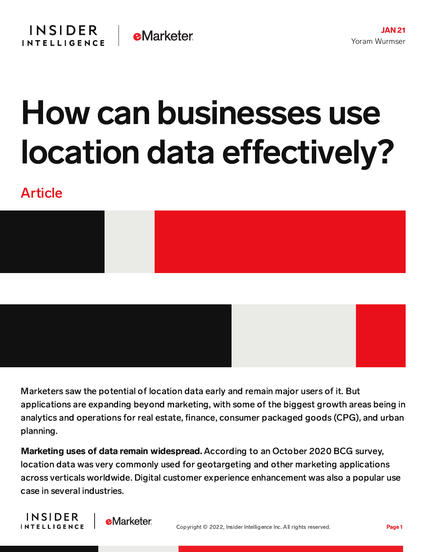# How can businesses use location data effectively?

# Article



Marketers saw the potential of location data early and remain major users of it. But applications are expanding beyond marketing, with some of the biggest growth areas being in analytics and operations for real estate, finance, consumer packaged goods (CPG), and urban planning.

Marketing uses of data remain widespread. According to an October 2020 BCG survey, location data was very commonly used for geotargeting and other marketing applications across verticals worldwide. Digital customer experience enhancement was also a popular use case in several industries.



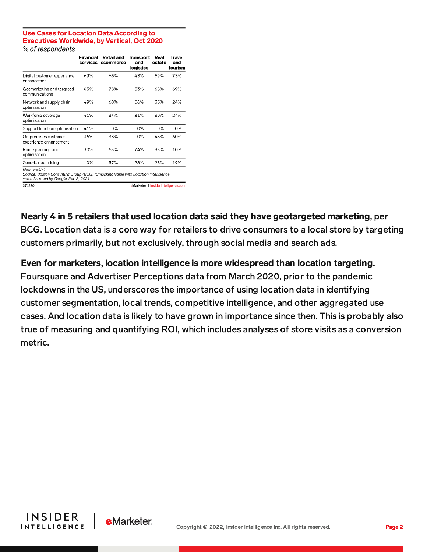#### **Use Cases for Location Data According to Executives Worldwide, by Vertical, Oct 2020** % of respondents

|                                                                                                     | Financial<br>services | Retail and<br>ecommerce | Transport<br>and<br>logistics | Real<br>estate | Trave<br>and<br>tourism |
|-----------------------------------------------------------------------------------------------------|-----------------------|-------------------------|-------------------------------|----------------|-------------------------|
| Digital customer experience<br>enhancement                                                          | 69%                   | 65%                     | 43%                           | 59%            | 73%                     |
| Geomarketing and targeted<br>communications                                                         | 63%                   | 78%                     | 53%                           | 68%            | 69%                     |
| Network and supply chain<br>optimization                                                            | 49%                   | 60%                     | 56%                           | 35%            | 24%                     |
| Workforce coverage<br>optimization                                                                  | 41%                   | 34%                     | 31%                           | 30%            | 24%                     |
| Support function optimization                                                                       | 41%                   | 0%                      | 0%                            | 0%             | 0%                      |
| On-premises customer<br>experience enhancement                                                      | 36%                   | 38%                     | 0%                            | 48%            | 60%                     |
| Route planning and<br>optimization                                                                  | 30%                   | 53%                     | 74%                           | 33%            | 10%                     |
| Zone-based pricing                                                                                  | 0%                    | 37%                     | 28%                           | 28%            | 19%                     |
| Note: n=520<br>Course: Poetan Consulting Crown (BCC) "I Injoeking Value with Location Intelligence" |                       |                         |                               |                |                         |

Source: Boston Consulting Group (BCG) "Unlocking Value with Location<br>commissioned by Google, Feb 8, 2021

271220

eMarketer | InsiderIntelligence.com

Nearly 4 in 5 retailers that used location data said they have geotargeted marketing, per BCG. Location data is a core way for retailers to drive consumers to a local store by targeting customers primarily, but not exclusively, through social media and search ads.

### Even for marketers, location intelligence is more widespread than location targeting.

Foursquare and Advertiser Perceptions data from March 2020, prior to the pandemic lockdowns in the US, underscores the importance of using location data in identifying customer segmentation, local trends, competitive intelligence, and other aggregated use cases. And location data is likely to have grown in importance since then. This is probably also true of measuring and quantifying ROI, which includes analyses of store visits as a conversion metric.